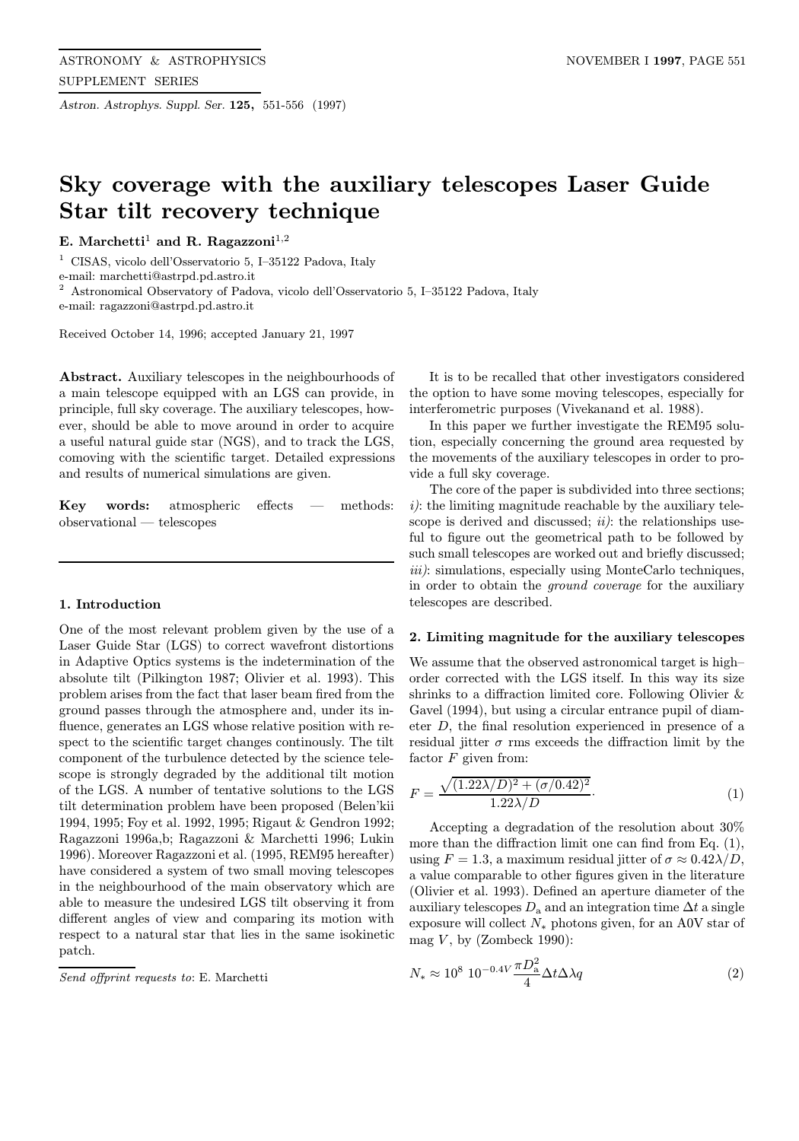Astron. Astrophys. Suppl. Ser. 125, 551-556 (1997)

# Sky coverage with the auxiliary telescopes Laser Guide Star tilt recovery technique

E. Marchetti<sup>1</sup> and R. Ragazzoni<sup>1,2</sup>

<sup>1</sup> CISAS, vicolo dell'Osservatorio 5, I–35122 Padova, Italy

e-mail: marchetti@astrpd.pd.astro.it

<sup>2</sup> Astronomical Observatory of Padova, vicolo dell'Osservatorio 5, I–35122 Padova, Italy

e-mail: ragazzoni@astrpd.pd.astro.it

Received October 14, 1996; accepted January 21, 1997

Abstract. Auxiliary telescopes in the neighbourhoods of a main telescope equipped with an LGS can provide, in principle, full sky coverage. The auxiliary telescopes, however, should be able to move around in order to acquire a useful natural guide star (NGS), and to track the LGS, comoving with the scientific target. Detailed expressions and results of numerical simulations are given.

Key words: atmospheric effects — methods: observational — telescopes

## 1. Introduction

One of the most relevant problem given by the use of a Laser Guide Star (LGS) to correct wavefront distortions in Adaptive Optics systems is the indetermination of the absolute tilt (Pilkington 1987; Olivier et al. 1993). This problem arises from the fact that laser beam fired from the ground passes through the atmosphere and, under its influence, generates an LGS whose relative position with respect to the scientific target changes continously. The tilt component of the turbulence detected by the science telescope is strongly degraded by the additional tilt motion of the LGS. A number of tentative solutions to the LGS tilt determination problem have been proposed (Belen'kii 1994, 1995; Foy et al. 1992, 1995; Rigaut & Gendron 1992; Ragazzoni 1996a,b; Ragazzoni & Marchetti 1996; Lukin 1996). Moreover Ragazzoni et al. (1995, REM95 hereafter) have considered a system of two small moving telescopes in the neighbourhood of the main observatory which are able to measure the undesired LGS tilt observing it from different angles of view and comparing its motion with respect to a natural star that lies in the same isokinetic patch.

Send offprint requests to: E. Marchetti

It is to be recalled that other investigators considered the option to have some moving telescopes, especially for interferometric purposes (Vivekanand et al. 1988).

In this paper we further investigate the REM95 solution, especially concerning the ground area requested by the movements of the auxiliary telescopes in order to provide a full sky coverage.

The core of the paper is subdivided into three sections;  $i$ : the limiting magnitude reachable by the auxiliary telescope is derived and discussed;  $ii$ ): the relationships useful to figure out the geometrical path to be followed by such small telescopes are worked out and briefly discussed; iii): simulations, especially using MonteCarlo techniques, in order to obtain the ground coverage for the auxiliary telescopes are described.

### 2. Limiting magnitude for the auxiliary telescopes

We assume that the observed astronomical target is high– order corrected with the LGS itself. In this way its size shrinks to a diffraction limited core. Following Olivier & Gavel (1994), but using a circular entrance pupil of diameter D, the final resolution experienced in presence of a residual jitter  $\sigma$  rms exceeds the diffraction limit by the factor  $F$  given from:

$$
F = \frac{\sqrt{(1.22\lambda/D)^2 + (\sigma/0.42)^2}}{1.22\lambda/D}.
$$
\n(1)

Accepting a degradation of the resolution about 30% more than the diffraction limit one can find from Eq. (1), using  $F = 1.3$ , a maximum residual jitter of  $\sigma \approx 0.42 \lambda/D$ , a value comparable to other figures given in the literature (Olivier et al. 1993). Defined an aperture diameter of the auxiliary telescopes  $D_a$  and an integration time  $\Delta t$  a single exposure will collect  $N_*$  photons given, for an A0V star of mag  $V$ , by (Zombeck 1990):

$$
N_* \approx 10^8 \ 10^{-0.4V} \frac{\pi D_{\rm a}^2}{4} \Delta t \Delta \lambda q \tag{2}
$$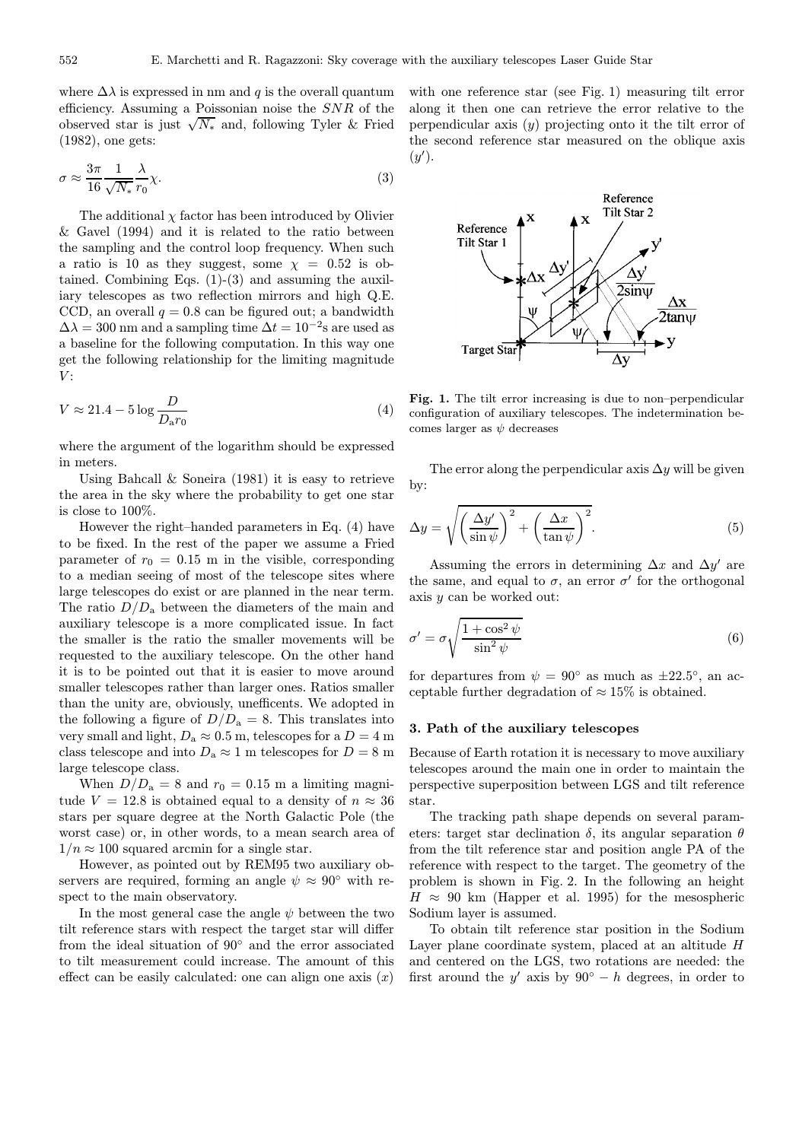where  $\Delta\lambda$  is expressed in nm and q is the overall quantum efficiency. Assuming a Poissonian noise the SNR of the observed star is just  $\sqrt{N_*}$  and, following Tyler & Fried (1982), one gets:

$$
\sigma \approx \frac{3\pi}{16} \frac{1}{\sqrt{N_*}} \frac{\lambda}{r_0} \chi.
$$
\n(3)

The additional  $\chi$  factor has been introduced by Olivier & Gavel (1994) and it is related to the ratio between the sampling and the control loop frequency. When such a ratio is 10 as they suggest, some  $\chi = 0.52$  is obtained. Combining Eqs. (1)-(3) and assuming the auxiliary telescopes as two reflection mirrors and high Q.E. CCD, an overall  $q = 0.8$  can be figured out; a bandwidth  $\Delta\lambda = 300$  nm and a sampling time  $\Delta t = 10^{-2}$ s are used as a baseline for the following computation. In this way one get the following relationship for the limiting magnitude  $V:$ 

$$
V \approx 21.4 - 5 \log \frac{D}{D_{\rm a} r_0} \tag{4}
$$

where the argument of the logarithm should be expressed in meters.

Using Bahcall  $&$  Soneira (1981) it is easy to retrieve the area in the sky where the probability to get one star is close to 100%.

However the right–handed parameters in Eq. (4) have to be fixed. In the rest of the paper we assume a Fried parameter of  $r_0 = 0.15$  m in the visible, corresponding to a median seeing of most of the telescope sites where large telescopes do exist or are planned in the near term. The ratio  $D/D_a$  between the diameters of the main and auxiliary telescope is a more complicated issue. In fact the smaller is the ratio the smaller movements will be requested to the auxiliary telescope. On the other hand it is to be pointed out that it is easier to move around smaller telescopes rather than larger ones. Ratios smaller than the unity are, obviously, unefficents. We adopted in the following a figure of  $D/D_a = 8$ . This translates into very small and light,  $D_a \approx 0.5$  m, telescopes for a  $D = 4$  m class telescope and into  $D_a \approx 1$  m telescopes for  $D = 8$  m large telescope class.

When  $D/D_a = 8$  and  $r_0 = 0.15$  m a limiting magnitude  $V = 12.8$  is obtained equal to a density of  $n \approx 36$ stars per square degree at the North Galactic Pole (the worst case) or, in other words, to a mean search area of  $1/n \approx 100$  squared arcmin for a single star.

However, as pointed out by REM95 two auxiliary observers are required, forming an angle  $\psi \approx 90^{\circ}$  with respect to the main observatory.

In the most general case the angle  $\psi$  between the two tilt reference stars with respect the target star will differ from the ideal situation of 90◦ and the error associated to tilt measurement could increase. The amount of this effect can be easily calculated: one can align one axis  $(x)$ 

with one reference star (see Fig. 1) measuring tilt error along it then one can retrieve the error relative to the perpendicular axis  $(y)$  projecting onto it the tilt error of the second reference star measured on the oblique axis  $(y')$ .



Fig. 1. The tilt error increasing is due to non–perpendicular configuration of auxiliary telescopes. The indetermination becomes larger as  $\psi$  decreases

The error along the perpendicular axis  $\Delta y$  will be given by:

$$
\Delta y = \sqrt{\left(\frac{\Delta y'}{\sin \psi}\right)^2 + \left(\frac{\Delta x}{\tan \psi}\right)^2}.
$$
\n(5)

Assuming the errors in determining  $\Delta x$  and  $\Delta y'$  are the same, and equal to  $\sigma$ , an error  $\sigma'$  for the orthogonal axis  $y$  can be worked out:

$$
\sigma' = \sigma \sqrt{\frac{1 + \cos^2 \psi}{\sin^2 \psi}} \tag{6}
$$

for departures from  $\psi = 90^{\circ}$  as much as  $\pm 22.5^{\circ}$ , an acceptable further degradation of  $\approx 15\%$  is obtained.

#### 3. Path of the auxiliary telescopes

Because of Earth rotation it is necessary to move auxiliary telescopes around the main one in order to maintain the perspective superposition between LGS and tilt reference star.

The tracking path shape depends on several parameters: target star declination  $\delta$ , its angular separation  $\theta$ from the tilt reference star and position angle PA of the reference with respect to the target. The geometry of the problem is shown in Fig. 2. In the following an height  $H \approx 90$  km (Happer et al. 1995) for the mesospheric Sodium layer is assumed.

To obtain tilt reference star position in the Sodium Layer plane coordinate system, placed at an altitude H and centered on the LGS, two rotations are needed: the first around the y' axis by  $90° - h$  degrees, in order to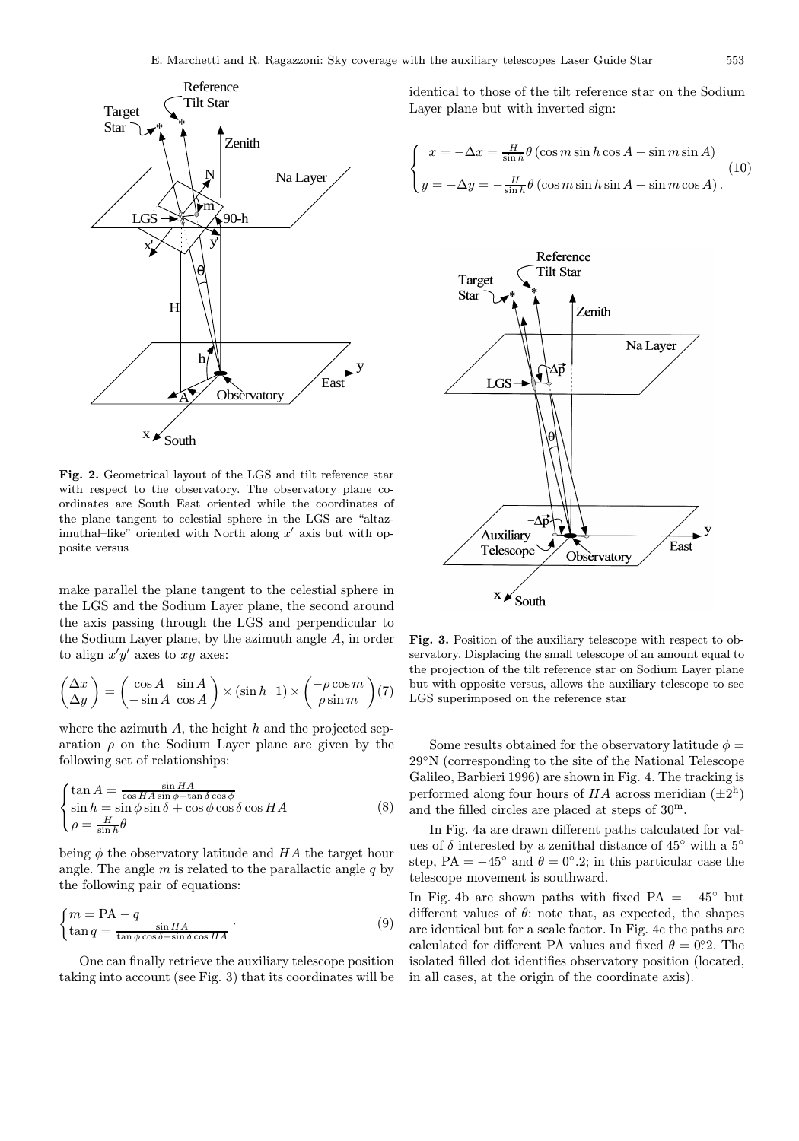

Fig. 2. Geometrical layout of the LGS and tilt reference star with respect to the observatory. The observatory plane coordinates are South–East oriented while the coordinates of the plane tangent to celestial sphere in the LGS are "altazimuthal–like" oriented with North along  $x'$  axis but with opposite versus

make parallel the plane tangent to the celestial sphere in the LGS and the Sodium Layer plane, the second around the axis passing through the LGS and perpendicular to the Sodium Layer plane, by the azimuth angle A, in order to align  $x'y'$  axes to  $xy$  axes:

$$
\begin{pmatrix}\n\Delta x \\
\Delta y\n\end{pmatrix} = \begin{pmatrix}\n\cos A & \sin A \\
-\sin A & \cos A\n\end{pmatrix} \times (\sin h \ 1) \times \begin{pmatrix}\n-\rho \cos m \\
\rho \sin m\n\end{pmatrix} (7)
$$

where the azimuth  $A$ , the height  $h$  and the projected separation  $\rho$  on the Sodium Layer plane are given by the following set of relationships:

$$
\begin{cases}\n\tan A = \frac{\sin HA}{\cos HA \sin \phi - \tan \delta \cos \phi} \\
\sin h = \sin \phi \sin \delta + \cos \phi \cos \delta \cos HA \\
\rho = \frac{H}{\sin h} \theta\n\end{cases}
$$
\n(8)

being  $\phi$  the observatory latitude and HA the target hour angle. The angle  $m$  is related to the parallactic angle  $q$  by the following pair of equations:

$$
\begin{cases} m = \text{PA} - q \\ \tan q = \frac{\sin HA}{\tan \phi \cos \delta - \sin \delta \cos HA} \end{cases} (9)
$$

One can finally retrieve the auxiliary telescope position taking into account (see Fig. 3) that its coordinates will be identical to those of the tilt reference star on the Sodium Layer plane but with inverted sign:

$$
\begin{cases}\n x = -\Delta x = \frac{H}{\sin h} \theta \left( \cos m \sin h \cos A - \sin m \sin A \right) \\
 y = -\Delta y = -\frac{H}{\sin h} \theta \left( \cos m \sin h \sin A + \sin m \cos A \right).\n \end{cases}
$$
\n(10)



Fig. 3. Position of the auxiliary telescope with respect to observatory. Displacing the small telescope of an amount equal to the projection of the tilt reference star on Sodium Layer plane but with opposite versus, allows the auxiliary telescope to see LGS superimposed on the reference star

Some results obtained for the observatory latitude  $\phi =$ 29◦N (corresponding to the site of the National Telescope Galileo, Barbieri 1996) are shown in Fig. 4. The tracking is performed along four hours of  $HA$  across meridian  $(\pm 2^h)$ and the filled circles are placed at steps of 30<sup>m</sup>.

In Fig. 4a are drawn different paths calculated for values of  $\delta$  interested by a zenithal distance of 45 $\degree$  with a 5 $\degree$ step, PA =  $-45^\circ$  and  $\theta = 0^\circ.2$ ; in this particular case the telescope movement is southward.

In Fig. 4b are shown paths with fixed PA =  $-45°$  but different values of  $\theta$ : note that, as expected, the shapes are identical but for a scale factor. In Fig. 4c the paths are calculated for different PA values and fixed  $\theta = 0$ °. The isolated filled dot identifies observatory position (located, in all cases, at the origin of the coordinate axis).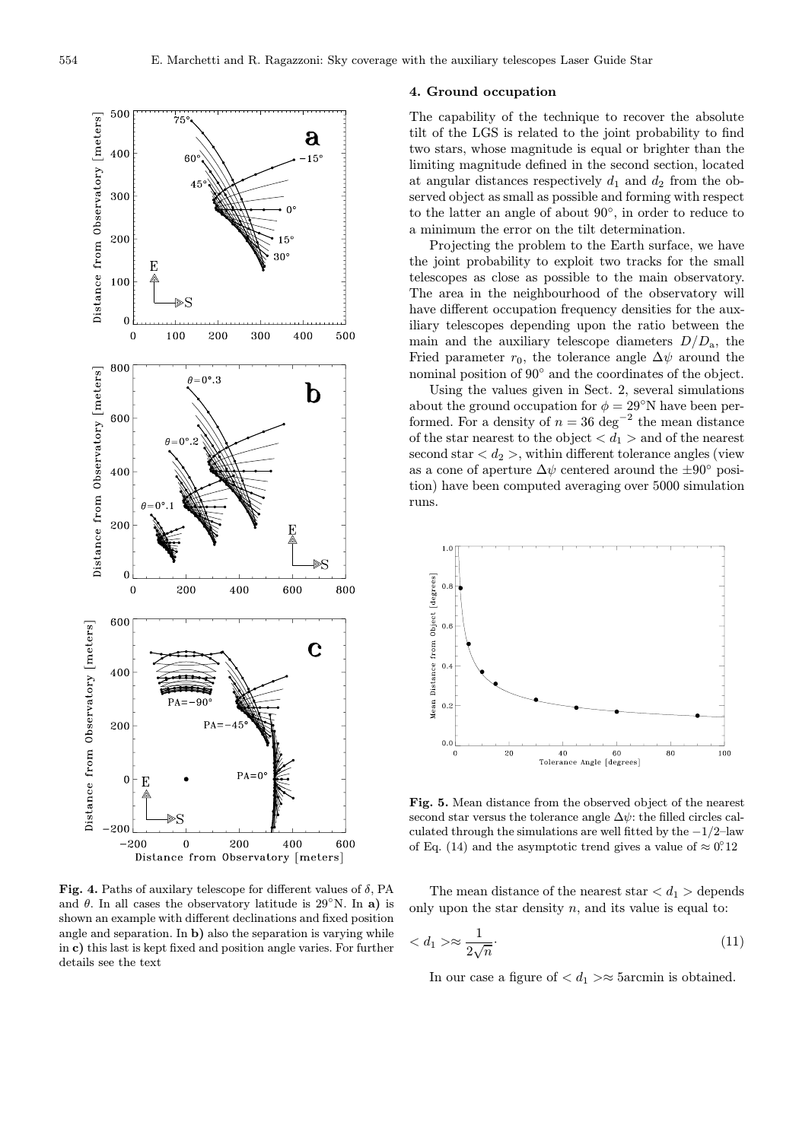

Fig. 4. Paths of auxilary telescope for different values of  $\delta$ , PA and  $\theta$ . In all cases the observatory latitude is 29<sup>°</sup>N. In a) is shown an example with different declinations and fixed position angle and separation. In b) also the separation is varying while in c) this last is kept fixed and position angle varies. For further details see the text

## 4. Ground occupation

The capability of the technique to recover the absolute tilt of the LGS is related to the joint probability to find two stars, whose magnitude is equal or brighter than the limiting magnitude defined in the second section, located at angular distances respectively  $d_1$  and  $d_2$  from the observed object as small as possible and forming with respect to the latter an angle of about 90◦, in order to reduce to a minimum the error on the tilt determination.

Projecting the problem to the Earth surface, we have the joint probability to exploit two tracks for the small telescopes as close as possible to the main observatory. The area in the neighbourhood of the observatory will have different occupation frequency densities for the auxiliary telescopes depending upon the ratio between the main and the auxiliary telescope diameters  $D/D<sub>a</sub>$ , the Fried parameter  $r_0$ , the tolerance angle  $\Delta \psi$  around the nominal position of 90◦ and the coordinates of the object.

Using the values given in Sect. 2, several simulations about the ground occupation for  $\phi = 29°$ N have been performed. For a density of  $n = 36 \text{ deg}^{-2}$  the mean distance of the star nearest to the object  $d_1 >$  and of the nearest second star  $\langle d_2 \rangle$ , within different tolerance angles (view as a cone of aperture  $\Delta \psi$  centered around the  $\pm 90^{\circ}$  position) have been computed averaging over 5000 simulation runs.



Fig. 5. Mean distance from the observed object of the nearest second star versus the tolerance angle  $\Delta \psi$ : the filled circles calculated through the simulations are well fitted by the  $-1/2$ –law of Eq. (14) and the asymptotic trend gives a value of  $\approx 0.0212$ 

The mean distance of the nearest star  $d_1 >$  depends only upon the star density  $n$ , and its value is equal to:

$$
\langle d_1 \rangle \approx \frac{1}{2\sqrt{n}}.\tag{11}
$$

In our case a figure of  $\langle d_1 \rangle \approx 5$  arcmin is obtained.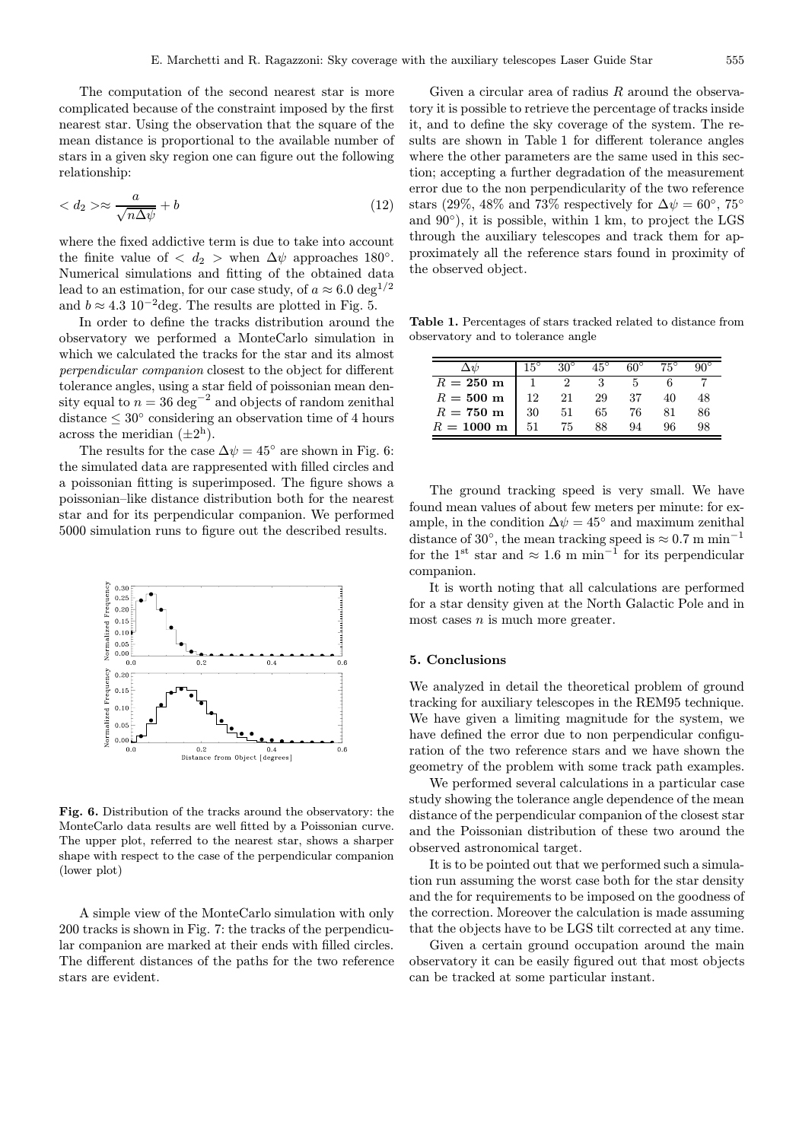The computation of the second nearest star is more complicated because of the constraint imposed by the first nearest star. Using the observation that the square of the mean distance is proportional to the available number of stars in a given sky region one can figure out the following relationship:

$$
\langle d_2 \rangle \approx \frac{a}{\sqrt{n\Delta\psi}} + b \tag{12}
$$

where the fixed addictive term is due to take into account the finite value of  $\langle d_2 \rangle$  when  $\Delta \psi$  approaches 180°. Numerical simulations and fitting of the obtained data lead to an estimation, for our case study, of  $a \approx 6.0 \text{ deg}^{1/2}$ and  $b \approx 4.3 \, 10^{-2}$ deg. The results are plotted in Fig. 5.

In order to define the tracks distribution around the observatory we performed a MonteCarlo simulation in which we calculated the tracks for the star and its almost perpendicular companion closest to the object for different tolerance angles, using a star field of poissonian mean density equal to  $n = 36 \text{ deg}^{-2}$  and objects of random zenithal distance  $\leq 30^{\circ}$  considering an observation time of 4 hours across the meridian  $(\pm 2^h)$ .

The results for the case  $\Delta \psi = 45^{\circ}$  are shown in Fig. 6: the simulated data are rappresented with filled circles and a poissonian fitting is superimposed. The figure shows a poissonian–like distance distribution both for the nearest star and for its perpendicular companion. We performed 5000 simulation runs to figure out the described results.



Fig. 6. Distribution of the tracks around the observatory: the MonteCarlo data results are well fitted by a Poissonian curve. The upper plot, referred to the nearest star, shows a sharper shape with respect to the case of the perpendicular companion (lower plot)

A simple view of the MonteCarlo simulation with only 200 tracks is shown in Fig. 7: the tracks of the perpendicular companion are marked at their ends with filled circles. The different distances of the paths for the two reference stars are evident.

Given a circular area of radius  $R$  around the observatory it is possible to retrieve the percentage of tracks inside it, and to define the sky coverage of the system. The results are shown in Table 1 for different tolerance angles where the other parameters are the same used in this section; accepting a further degradation of the measurement error due to the non perpendicularity of the two reference stars (29%, 48% and 73% respectively for  $\Delta \psi = 60^{\circ}$ , 75° and  $90°$ ), it is possible, within 1 km, to project the LGS through the auxiliary telescopes and track them for approximately all the reference stars found in proximity of the observed object.

Table 1. Percentages of stars tracked related to distance from observatory and to tolerance angle

|                      | $15^{\circ}$ |    | $45^{\circ}$ | ഭ∩ീ | $75^{\circ}$ |    |
|----------------------|--------------|----|--------------|-----|--------------|----|
| $R = 250$ m          |              |    |              |     |              |    |
| $R = 500$ m          | 12           | 21 | 29           | 37  |              |    |
| $R = 750~\mathrm{m}$ | 30           | 51 | 65           | 76  |              | 86 |
| $R = 1000 \text{ m}$ | 51           | 75 |              | QΔ  | 96           | 98 |

The ground tracking speed is very small. We have found mean values of about few meters per minute: for example, in the condition  $\Delta \psi = 45^{\circ}$  and maximum zenithal distance of 30°, the mean tracking speed is  $\approx 0.7$  m min<sup>-1</sup> for the 1<sup>st</sup> star and  $\approx 1.6$  m min<sup>-1</sup> for its perpendicular companion.

It is worth noting that all calculations are performed for a star density given at the North Galactic Pole and in most cases  $n$  is much more greater.

## 5. Conclusions

We analyzed in detail the theoretical problem of ground tracking for auxiliary telescopes in the REM95 technique. We have given a limiting magnitude for the system, we have defined the error due to non perpendicular configuration of the two reference stars and we have shown the geometry of the problem with some track path examples.

We performed several calculations in a particular case study showing the tolerance angle dependence of the mean distance of the perpendicular companion of the closest star and the Poissonian distribution of these two around the observed astronomical target.

It is to be pointed out that we performed such a simulation run assuming the worst case both for the star density and the for requirements to be imposed on the goodness of the correction. Moreover the calculation is made assuming that the objects have to be LGS tilt corrected at any time.

Given a certain ground occupation around the main observatory it can be easily figured out that most objects can be tracked at some particular instant.